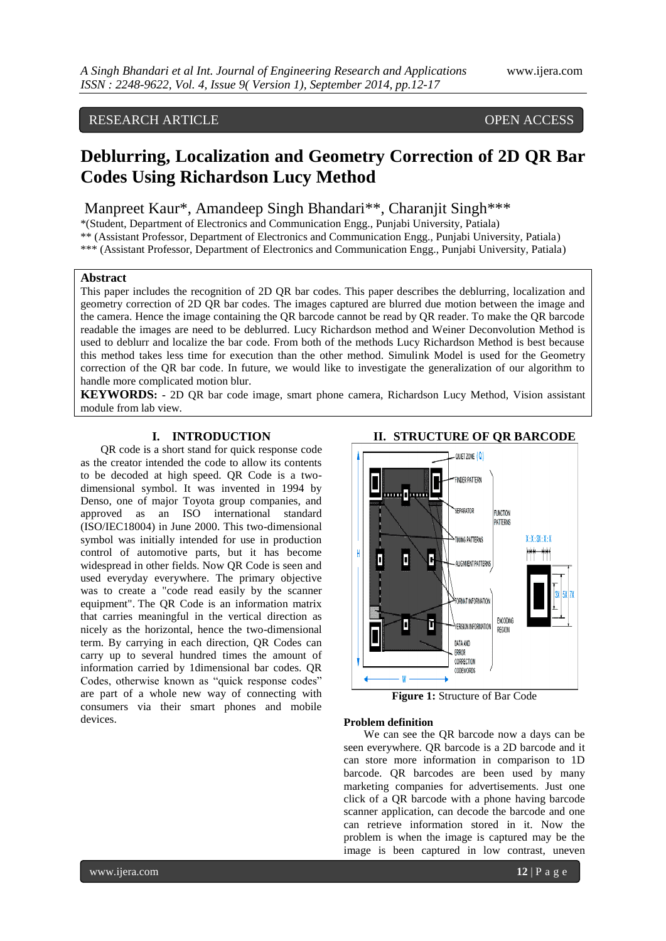# RESEARCH ARTICLE OPEN ACCESS

# **Deblurring, Localization and Geometry Correction of 2D QR Bar Codes Using Richardson Lucy Method**

# Manpreet Kaur\*, Amandeep Singh Bhandari\*\*, Charanjit Singh\*\*\*

\*(Student, Department of Electronics and Communication Engg., Punjabi University, Patiala)

\*\* (Assistant Professor, Department of Electronics and Communication Engg., Punjabi University, Patiala)

\*\*\* (Assistant Professor, Department of Electronics and Communication Engg., Punjabi University, Patiala)

#### **Abstract**

This paper includes the recognition of 2D QR bar codes. This paper describes the deblurring, localization and geometry correction of 2D QR bar codes. The images captured are blurred due motion between the image and the camera. Hence the image containing the QR barcode cannot be read by QR reader. To make the QR barcode readable the images are need to be deblurred. Lucy Richardson method and Weiner Deconvolution Method is used to deblurr and localize the bar code. From both of the methods Lucy Richardson Method is best because this method takes less time for execution than the other method. Simulink Model is used for the Geometry correction of the QR bar code. In future, we would like to investigate the generalization of our algorithm to handle more complicated motion blur.

**KEYWORDS: -** 2D QR bar code image, smart phone camera, Richardson Lucy Method, Vision assistant module from lab view.

# **I. INTRODUCTION**

QR code is a short stand for quick response code as the creator intended the code to allow its contents to be decoded at high speed. QR Code is a twodimensional symbol. It was invented in 1994 by Denso, one of major Toyota group companies, and approved as an ISO international standard (ISO/IEC18004) in June 2000. This two-dimensional symbol was initially intended for use in production control of automotive parts, but it has become widespread in other fields. Now QR Code is seen and used everyday everywhere. The primary objective was to create a "code read easily by the scanner equipment". The QR Code is an information matrix that carries meaningful in the vertical direction as nicely as the horizontal, hence the two-dimensional term. By carrying in each direction, QR Codes can carry up to several hundred times the amount of information carried by 1dimensional bar codes. QR Codes, otherwise known as "quick response codes" are part of a whole new way of connecting with consumers via their smart phones and mobile devices.



**Figure 1:** Structure of Bar Code

#### **Problem definition**

We can see the QR barcode now a days can be seen everywhere. QR barcode is a 2D barcode and it can store more information in comparison to 1D barcode. QR barcodes are been used by many marketing companies for advertisements. Just one click of a QR barcode with a phone having barcode scanner application, can decode the barcode and one can retrieve information stored in it. Now the problem is when the image is captured may be the image is been captured in low contrast, uneven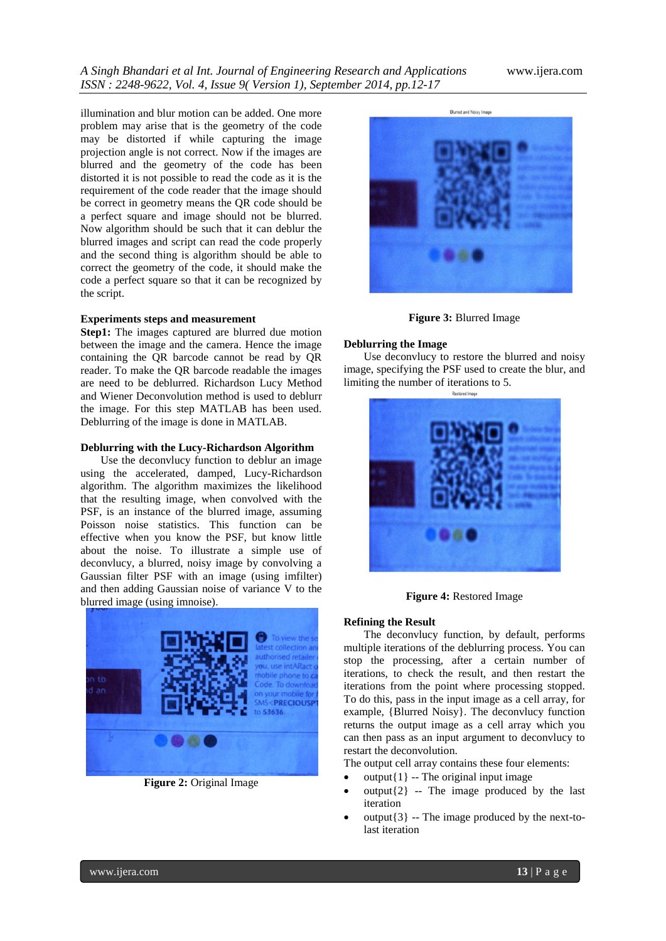illumination and blur motion can be added. One more problem may arise that is the geometry of the code may be distorted if while capturing the image projection angle is not correct. Now if the images are blurred and the geometry of the code has been distorted it is not possible to read the code as it is the requirement of the code reader that the image should be correct in geometry means the QR code should be a perfect square and image should not be blurred. Now algorithm should be such that it can deblur the blurred images and script can read the code properly and the second thing is algorithm should be able to correct the geometry of the code, it should make the code a perfect square so that it can be recognized by the script.

#### **Experiments steps and measurement**

**Step1:** The images captured are blurred due motion between the image and the camera. Hence the image containing the QR barcode cannot be read by QR reader. To make the QR barcode readable the images are need to be deblurred. Richardson Lucy Method and Wiener Deconvolution method is used to deblurr the image. For this step MATLAB has been used. Deblurring of the image is done in MATLAB.

#### **Deblurring with the Lucy-Richardson Algorithm**

Use the deconvlucy function to deblur an image using the accelerated, damped, Lucy-Richardson algorithm. The algorithm maximizes the likelihood that the resulting image, when convolved with the PSF, is an instance of the blurred image, assuming Poisson noise statistics. This function can be effective when you know the PSF, but know little about the noise. To illustrate a simple use of deconvlucy, a blurred, noisy image by convolving a Gaussian filter PSF with an image (using imfilter) and then adding Gaussian noise of variance V to the blurred image (using imnoise).



**Figure 2:** Original Image



**Figure 3:** Blurred Image

#### **Deblurring the Image**

Use deconvlucy to restore the blurred and noisy image, specifying the PSF used to create the blur, and limiting the number of iterations to 5.



**Figure 4:** Restored Image

#### **Refining the Result**

The deconvlucy function, by default, performs multiple iterations of the deblurring process. You can stop the processing, after a certain number of iterations, to check the result, and then restart the iterations from the point where processing stopped. To do this, pass in the input image as a cell array, for example, {Blurred Noisy}. The deconvlucy function returns the output image as a cell array which you can then pass as an input argument to deconvlucy to restart the deconvolution.

The output cell array contains these four elements:

- $output{1}$  -- The original input image
- $output{2}$  -- The image produced by the last iteration
- $output{3}$  -- The image produced by the next-tolast iteration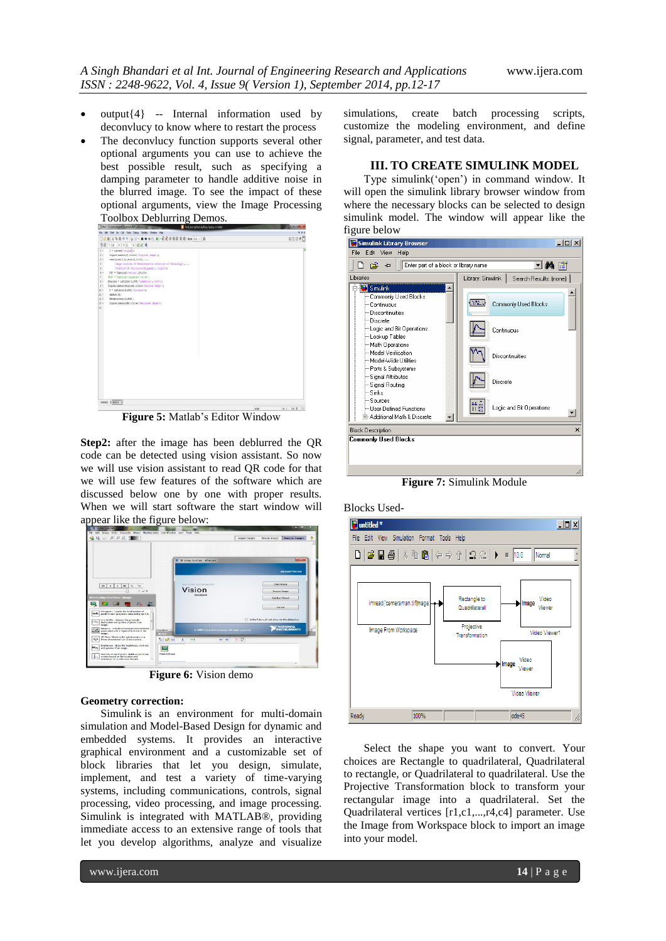- output{4} -- Internal information used by deconvlucy to know where to restart the process
- The deconvlucy function supports several other optional arguments you can use to achieve the best possible result, such as specifying a damping parameter to handle additive noise in the blurred image. To see the impact of these optional arguments, view the Image Processing Toolbox Deblurring Demos.

| Editor - C/Used manael Counter to MFTLAT among                                                                                                                                                                                                                                                                                                                                                                                                                                                                                                                                                                                                                                                   | Find your perfect desktop, laptop, or tablet | $m = -1$              |
|--------------------------------------------------------------------------------------------------------------------------------------------------------------------------------------------------------------------------------------------------------------------------------------------------------------------------------------------------------------------------------------------------------------------------------------------------------------------------------------------------------------------------------------------------------------------------------------------------------------------------------------------------------------------------------------------------|----------------------------------------------|-----------------------|
| File Edit Text Go Cell Tods Debug Dektop Mindow Help                                                                                                                                                                                                                                                                                                                                                                                                                                                                                                                                                                                                                                             |                                              | $x \cdot x$           |
| □□图 3 4 图 9 0 3 3 · 尚中中白 图 · B 和 图 图 图 图 图 2mb los · 方                                                                                                                                                                                                                                                                                                                                                                                                                                                                                                                                                                                                                                           |                                              | <b>BDB60</b>          |
| 情语<br>$-11$ $+11$ $\times$ $+4$                                                                                                                                                                                                                                                                                                                                                                                                                                                                                                                                                                                                                                                                  |                                              |                       |
| $t -$<br>$I = interval('wr, and ):$<br>$1 -$<br>fürgerinsbow(I);title("Original Insor');<br>$1 -$<br>text(size)I.2), size(I.1)+15,<br>'Inspe courtesy of Massachusetts Institute of Technology',<br>$\blacksquare$<br>5<br>"FontSize", 1, "HorizontalAlignment", "right");<br>$\leftarrow$<br>PSF = fasecial("motion",20,50);<br>л.<br>WSF = fapecial("gazesian',31,41):<br>$1 -$<br>Bluesed = infilter(I, HE, 'symmetric', 'conv');<br>$\frac{1}{2}$<br>figure:instow (Blurred) ; title ("Blurred Image") ;<br>$11 -$<br>0 * infilter(1,857, 'circular');<br>$u -$<br>instoviGi:<br>$12 -$<br>Fl=deconvec (0,157) ;<br>$11 -$<br>figure:inshow(FR);title("Deblurred Insce");<br>$\overline{14}$ |                                              |                       |
|                                                                                                                                                                                                                                                                                                                                                                                                                                                                                                                                                                                                                                                                                                  |                                              |                       |
| United i antra il                                                                                                                                                                                                                                                                                                                                                                                                                                                                                                                                                                                                                                                                                |                                              |                       |
|                                                                                                                                                                                                                                                                                                                                                                                                                                                                                                                                                                                                                                                                                                  |                                              | 14.1 GLW 08<br>price. |

**Figure 5:** Matlab's Editor Window

**Step2:** after the image has been deblurred the QR code can be detected using vision assistant. So now we will use vision assistant to read QR code for that we will use few features of the software which are discussed below one by one with proper results. When we will start software the start window will appear like the figure below:

| ● 山の の の 兄 津                                                                                                                                                     |                                                   | <b>Acquire Exeges</b> | <b>Process Images</b><br>Browse Images  |
|------------------------------------------------------------------------------------------------------------------------------------------------------------------|---------------------------------------------------|-----------------------|-----------------------------------------|
|                                                                                                                                                                  |                                                   |                       | <b>Allen Chair</b>                      |
|                                                                                                                                                                  | W. N. Vision Assistant - Welcome                  |                       |                                         |
|                                                                                                                                                                  |                                                   |                       | ni.com/vision                           |
| 144<br><b>HH</b><br>$\cdot$<br>٠                                                                                                                                 | NATIONAL OVETBOARDNES                             |                       | Doen Image                              |
| $= -n^2$ $\alpha$                                                                                                                                                | Vision<br><b><i><u><u>Assistant</u></u></i></b>   |                       | Асолги Элире                            |
| Processing functions: Image                                                                                                                                      |                                                   |                       | Solution Wagond                         |
| $\mathcal{P}_{\Delta}$<br>a.<br>Harogram: County the total number of                                                                                             |                                                   |                       | Cancel                                  |
| pools in each previous value and graphs it.<br>Line Profile: Depays the granscale<br><b>CHO</b><br>detribution along a line of pixels in an                      | [1] In the future, do not show me this dialog box |                       |                                         |
| mape.<br>Measure: Calculates measurement statistics<br><b>Dift</b><br>254-00 BC 1<br>associated with a region of interest in the<br>. .<br>maps.<br><b>State</b> | @ 2000 National Instruments, All rests experient. |                       | <b>TINATIONAL</b><br><b>INSTRUMENTS</b> |
| 30 View: Disclays the ight intensity in a<br><b>DBH</b><br>62<br>three-dimensional coordinate system.                                                            | ● ※ 原<br>п<br>$+1$                                |                       |                                         |
| Brightness: Alters the brightness, contrast,<br>page.<br>and growing of an evape.                                                                                |                                                   |                       |                                         |
| Original Image<br>Set Coordinate Systems Builds a coordinate<br>system based on the location and<br>principator of a reference feeture.                          |                                                   |                       |                                         |

**Figure 6:** Vision demo

#### **Geometry correction:**

Simulink is an environment for multi-domain simulation and Model-Based Design for dynamic and embedded systems. It provides an interactive graphical environment and a customizable set of block libraries that let you design, simulate, implement, and test a variety of time-varying systems, including communications, controls, signal processing, video processing, and image processing. Simulink is integrated with MATLAB®, providing immediate access to an extensive range of tools that let you develop algorithms, analyze and visualize

simulations, create batch processing scripts, customize the modeling environment, and define signal, parameter, and test data.

#### **III. TO CREATE SIMULINK MODEL**

Type simulink('open') in command window. It will open the simulink library browser window from where the necessary blocks can be selected to design simulink model. The window will appear like the figure below



**Figure 7:** Simulink Module

Blocks Used-



Select the shape you want to convert. Your choices are Rectangle to quadrilateral, Quadrilateral to rectangle, or Quadrilateral to quadrilateral. Use the Projective Transformation block to transform your rectangular image into a quadrilateral. Set the Quadrilateral vertices [r1,c1,...,r4,c4] parameter. Use the Image from Workspace block to import an image into your model.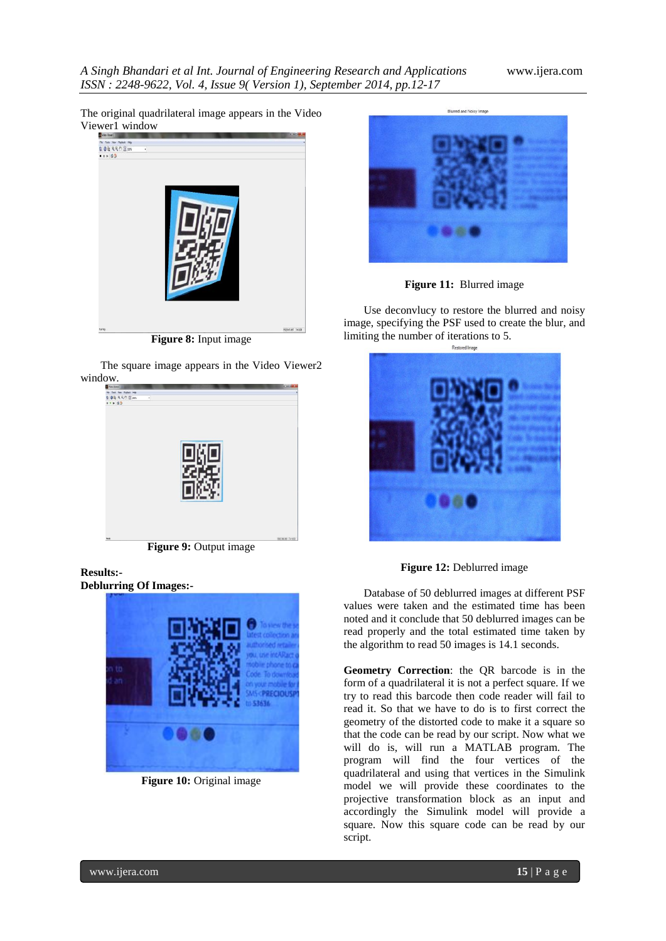The original quadrilateral image appears in the Video Viewer1 window



**Figure 8:** Input image

The square image appears in the Video Viewer2 window.



**Figure 9:** Output image

## **Results:- Deblurring Of Images:-**



**Figure 10:** Original image



**Figure 11:** Blurred image

Use deconvlucy to restore the blurred and noisy image, specifying the PSF used to create the blur, and limiting the number of iterations to 5.



Figure 12: Deblurred image

Database of 50 deblurred images at different PSF values were taken and the estimated time has been noted and it conclude that 50 deblurred images can be read properly and the total estimated time taken by the algorithm to read 50 images is 14.1 seconds.

**Geometry Correction**: the QR barcode is in the form of a quadrilateral it is not a perfect square. If we try to read this barcode then code reader will fail to read it. So that we have to do is to first correct the geometry of the distorted code to make it a square so that the code can be read by our script. Now what we will do is, will run a MATLAB program. The program will find the four vertices of the quadrilateral and using that vertices in the Simulink model we will provide these coordinates to the projective transformation block as an input and accordingly the Simulink model will provide a square. Now this square code can be read by our script.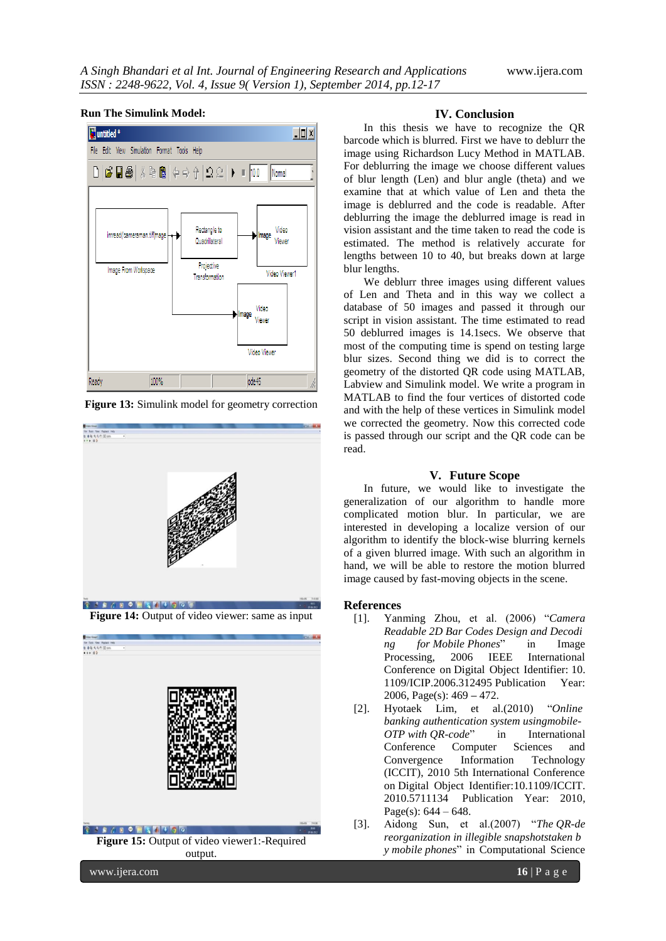#### $|D|$   $x|$ **Muntitled** \* File Edit View Simulation Format Tools Help  $\bigcap$  6 H & I & G I  $\Leftrightarrow$   $\Uparrow$  I  $\bigcap$  2 H  $\rightarrow$  10.0 Nomal Rectangle to Video imread('cameraman.tifl)mage mage Quadrilateral Viewer Projective Image From Workspace Video Viewer1 Transformation Video mage Viewer Video Viewer 100% ode45 Ready

#### **Run The Simulink Model:**





**Figure 14:** Output of video viewer: same as input



### **IV. Conclusion**

In this thesis we have to recognize the QR barcode which is blurred. First we have to deblurr the image using Richardson Lucy Method in MATLAB. For deblurring the image we choose different values of blur length (Len) and blur angle (theta) and we examine that at which value of Len and theta the image is deblurred and the code is readable. After deblurring the image the deblurred image is read in vision assistant and the time taken to read the code is estimated. The method is relatively accurate for lengths between 10 to 40, but breaks down at large blur lengths.

We deblurr three images using different values of Len and Theta and in this way we collect a database of 50 images and passed it through our script in vision assistant. The time estimated to read 50 deblurred images is 14.1secs. We observe that most of the computing time is spend on testing large blur sizes. Second thing we did is to correct the geometry of the distorted QR code using MATLAB, Labview and Simulink model. We write a program in MATLAB to find the four vertices of distorted code and with the help of these vertices in Simulink model we corrected the geometry. Now this corrected code is passed through our script and the QR code can be read.

#### **V. Future Scope**

In future, we would like to investigate the generalization of our algorithm to handle more complicated motion blur. In particular, we are interested in developing a localize version of our algorithm to identify the block-wise blurring kernels of a given blurred image. With such an algorithm in hand, we will be able to restore the motion blurred image caused by fast-moving objects in the scene.

#### **References**

- [1]. Yanming Zhou, et al. (2006) "*Camera Readable 2D Bar Codes Design and Decodi ng for Mobile Phones*" in [Image](http://ieeexplore.ieee.org/xpl/mostRecentIssue.jsp?punumber=4106439)  [Processing, 2006 IEEE International](http://ieeexplore.ieee.org/xpl/mostRecentIssue.jsp?punumber=4106439)  [Conference on](http://ieeexplore.ieee.org/xpl/mostRecentIssue.jsp?punumber=4106439) Digital Object Identifier: [10.](http://dx.doi.org/10.1109/ICIP.2006.312495) [1109/ICIP.2006.312495](http://dx.doi.org/10.1109/ICIP.2006.312495) Publication Year: 2006, Page(s): 469 **–** 472.
- [2]. Hyotaek Lim, et al.(2010) "*[Online](http://ieeexplore.ieee.org/xpl/articleDetails.jsp?tp=&arnumber=5711134&contentType=Conference+Publications&queryText%3DOnline+Banking+Authentication+System+using+Mobile-OTP+with+QR-code) banking [authentication](http://ieeexplore.ieee.org/xpl/articleDetails.jsp?tp=&arnumber=5711134&contentType=Conference+Publications&queryText%3DOnline+Banking+Authentication+System+using+Mobile-OTP+with+QR-code) system usingmobile-OTP with [QR-code](http://ieeexplore.ieee.org/xpl/articleDetails.jsp?tp=&arnumber=5711134&contentType=Conference+Publications&queryText%3DOnline+Banking+Authentication+System+using+Mobile-OTP+with+QR-code)*" in International Conference [Computer Sciences and](http://ieeexplore.ieee.org/xpl/mostRecentIssue.jsp?punumber=5705711)  [Convergence Information Technology](http://ieeexplore.ieee.org/xpl/mostRecentIssue.jsp?punumber=5705711)  [\(ICCIT\), 2010 5th International Conference](http://ieeexplore.ieee.org/xpl/mostRecentIssue.jsp?punumber=5705711)  [on](http://ieeexplore.ieee.org/xpl/mostRecentIssue.jsp?punumber=5705711) Digital Object Identifier[:10.1109/ICCIT.](http://dx.doi.org/10.1109/ICCIT.2010.5711134) [2010.5711134](http://dx.doi.org/10.1109/ICCIT.2010.5711134) Publication Year: 2010, Page(s):  $644 - 648$ .

[3]. Aidong Sun, et al.(2007) "*The [QR-de](http://ieeexplore.ieee.org/xpl/articleDetails.jsp?tp=&arnumber=4301192&contentType=Conference+Publications&queryText%3DThe+QR-code+reorganization+in+illegible+snapshots+taken+by+mobile+phones%E2%88%97) reorganization in illegible [snapshotstaken](http://ieeexplore.ieee.org/xpl/articleDetails.jsp?tp=&arnumber=4301192&contentType=Conference+Publications&queryText%3DThe+QR-code+reorganization+in+illegible+snapshots+taken+by+mobile+phones%E2%88%97) b y mobile [phones](http://ieeexplore.ieee.org/xpl/articleDetails.jsp?tp=&arnumber=4301192&contentType=Conference+Publications&queryText%3DThe+QR-code+reorganization+in+illegible+snapshots+taken+by+mobile+phones%E2%88%97)*" in [Computational](http://ieeexplore.ieee.org/xpl/mostRecentIssue.jsp?punumber=4301108) Science